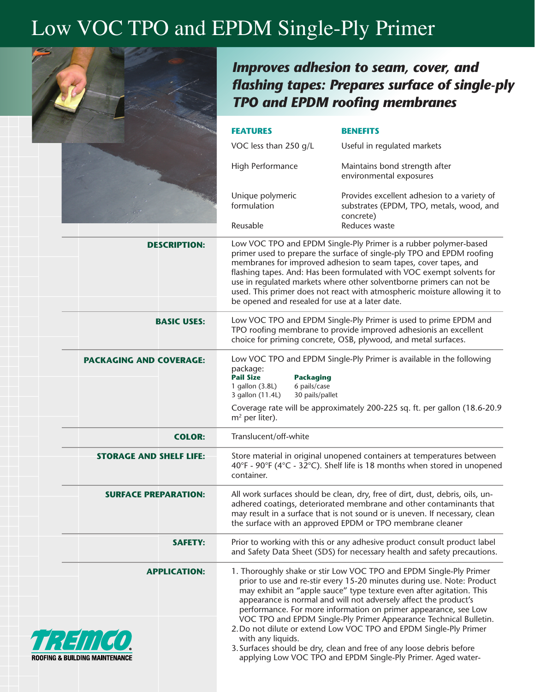## Low VOC TPO and EPDM Single-Ply Primer



ROOFING & RUIL

*Improves adhesion to seam, cover, and flashing tapes: Prepares surface of single-ply TPO and EPDM roofing membranes*

|                                                            | <b>FEATURES</b>                                                                                                                                                                                                                                                                                                                                                                                                                                                                               | <b>BENEFITS</b>                                                                                                                                                                                                                                                                                                                                                                                                                                                                                                                                                                                                                               |
|------------------------------------------------------------|-----------------------------------------------------------------------------------------------------------------------------------------------------------------------------------------------------------------------------------------------------------------------------------------------------------------------------------------------------------------------------------------------------------------------------------------------------------------------------------------------|-----------------------------------------------------------------------------------------------------------------------------------------------------------------------------------------------------------------------------------------------------------------------------------------------------------------------------------------------------------------------------------------------------------------------------------------------------------------------------------------------------------------------------------------------------------------------------------------------------------------------------------------------|
|                                                            | VOC less than 250 g/L                                                                                                                                                                                                                                                                                                                                                                                                                                                                         | Useful in regulated markets                                                                                                                                                                                                                                                                                                                                                                                                                                                                                                                                                                                                                   |
|                                                            | High Performance                                                                                                                                                                                                                                                                                                                                                                                                                                                                              | Maintains bond strength after<br>environmental exposures                                                                                                                                                                                                                                                                                                                                                                                                                                                                                                                                                                                      |
|                                                            | Unique polymeric<br>formulation                                                                                                                                                                                                                                                                                                                                                                                                                                                               | Provides excellent adhesion to a variety of<br>substrates (EPDM, TPO, metals, wood, and<br>concrete)                                                                                                                                                                                                                                                                                                                                                                                                                                                                                                                                          |
|                                                            | Reusable                                                                                                                                                                                                                                                                                                                                                                                                                                                                                      | Reduces waste                                                                                                                                                                                                                                                                                                                                                                                                                                                                                                                                                                                                                                 |
| <b>DESCRIPTION:</b>                                        | Low VOC TPO and EPDM Single-Ply Primer is a rubber polymer-based<br>primer used to prepare the surface of single-ply TPO and EPDM roofing<br>membranes for improved adhesion to seam tapes, cover tapes, and<br>flashing tapes. And: Has been formulated with VOC exempt solvents for<br>use in regulated markets where other solventborne primers can not be<br>used. This primer does not react with atmospheric moisture allowing it to<br>be opened and resealed for use at a later date. |                                                                                                                                                                                                                                                                                                                                                                                                                                                                                                                                                                                                                                               |
| <b>BASIC USES:</b>                                         | Low VOC TPO and EPDM Single-Ply Primer is used to prime EPDM and<br>TPO roofing membrane to provide improved adhesionis an excellent<br>choice for priming concrete, OSB, plywood, and metal surfaces.                                                                                                                                                                                                                                                                                        |                                                                                                                                                                                                                                                                                                                                                                                                                                                                                                                                                                                                                                               |
| <b>PACKAGING AND COVERAGE:</b>                             | package:<br><b>Pail Size</b><br><b>Packaging</b><br>1 gallon (3.8L)<br>6 pails/case<br>30 pails/pallet<br>3 gallon (11.4L)                                                                                                                                                                                                                                                                                                                                                                    | Low VOC TPO and EPDM Single-Ply Primer is available in the following<br>Coverage rate will be approximately 200-225 sq. ft. per gallon (18.6-20.9                                                                                                                                                                                                                                                                                                                                                                                                                                                                                             |
|                                                            | $m2$ per liter).                                                                                                                                                                                                                                                                                                                                                                                                                                                                              |                                                                                                                                                                                                                                                                                                                                                                                                                                                                                                                                                                                                                                               |
| <b>COLOR:</b>                                              | Translucent/off-white                                                                                                                                                                                                                                                                                                                                                                                                                                                                         |                                                                                                                                                                                                                                                                                                                                                                                                                                                                                                                                                                                                                                               |
| <b>STORAGE AND SHELF LIFE:</b>                             | Store material in original unopened containers at temperatures between<br>40°F - 90°F (4°C - 32°C). Shelf life is 18 months when stored in unopened<br>container.                                                                                                                                                                                                                                                                                                                             |                                                                                                                                                                                                                                                                                                                                                                                                                                                                                                                                                                                                                                               |
| <b>SURFACE PREPARATION:</b>                                |                                                                                                                                                                                                                                                                                                                                                                                                                                                                                               | All work surfaces should be clean, dry, free of dirt, dust, debris, oils, un-<br>adhered coatings, deteriorated membrane and other contaminants that<br>may result in a surface that is not sound or is uneven. If necessary, clean<br>the surface with an approved EPDM or TPO membrane cleaner                                                                                                                                                                                                                                                                                                                                              |
| <b>SAFETY:</b>                                             |                                                                                                                                                                                                                                                                                                                                                                                                                                                                                               | Prior to working with this or any adhesive product consult product label<br>and Safety Data Sheet (SDS) for necessary health and safety precautions.                                                                                                                                                                                                                                                                                                                                                                                                                                                                                          |
| <b>APPLICATION:</b><br>$\prod(\sigma)$<br>DING MAINTENANCE | with any liquids.                                                                                                                                                                                                                                                                                                                                                                                                                                                                             | 1. Thoroughly shake or stir Low VOC TPO and EPDM Single-Ply Primer<br>prior to use and re-stir every 15-20 minutes during use. Note: Product<br>may exhibit an "apple sauce" type texture even after agitation. This<br>appearance is normal and will not adversely affect the product's<br>performance. For more information on primer appearance, see Low<br>VOC TPO and EPDM Single-Ply Primer Appearance Technical Bulletin.<br>2. Do not dilute or extend Low VOC TPO and EPDM Single-Ply Primer<br>3. Surfaces should be dry, clean and free of any loose debris before<br>applying Low VOC TPO and EPDM Single-Ply Primer. Aged water- |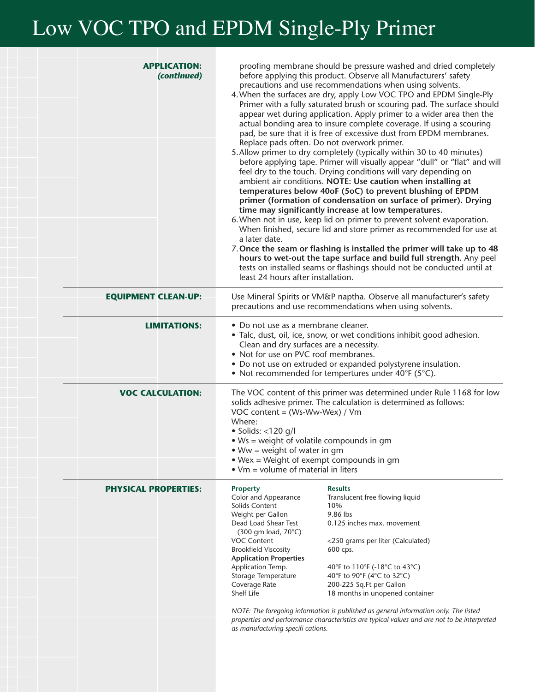## Low VOC TPO and EPDM Single-Ply Primer

| <b>APPLICATION:</b><br>(continued) | proofing membrane should be pressure washed and dried completely<br>before applying this product. Observe all Manufacturers' safety<br>precautions and use recommendations when using solvents.<br>4. When the surfaces are dry, apply Low VOC TPO and EPDM Single-Ply<br>Primer with a fully saturated brush or scouring pad. The surface should<br>appear wet during application. Apply primer to a wider area then the<br>actual bonding area to insure complete coverage. If using a scouring<br>pad, be sure that it is free of excessive dust from EPDM membranes.<br>Replace pads often. Do not overwork primer.<br>5. Allow primer to dry completely (typically within 30 to 40 minutes)<br>before applying tape. Primer will visually appear "dull" or "flat" and will<br>feel dry to the touch. Drying conditions will vary depending on<br>ambient air conditions. NOTE: Use caution when installing at<br>temperatures below 40oF (5oC) to prevent blushing of EPDM<br>primer (formation of condensation on surface of primer). Drying<br>time may significantly increase at low temperatures.<br>6. When not in use, keep lid on primer to prevent solvent evaporation.<br>When finished, secure lid and store primer as recommended for use at<br>a later date.<br>7. Once the seam or flashing is installed the primer will take up to 48<br>hours to wet-out the tape surface and build full strength. Any peel<br>tests on installed seams or flashings should not be conducted until at<br>least 24 hours after installation. |  |
|------------------------------------|-------------------------------------------------------------------------------------------------------------------------------------------------------------------------------------------------------------------------------------------------------------------------------------------------------------------------------------------------------------------------------------------------------------------------------------------------------------------------------------------------------------------------------------------------------------------------------------------------------------------------------------------------------------------------------------------------------------------------------------------------------------------------------------------------------------------------------------------------------------------------------------------------------------------------------------------------------------------------------------------------------------------------------------------------------------------------------------------------------------------------------------------------------------------------------------------------------------------------------------------------------------------------------------------------------------------------------------------------------------------------------------------------------------------------------------------------------------------------------------------------------------------------------------------------|--|
| <b>EQUIPMENT CLEAN-UP:</b>         | Use Mineral Spirits or VM&P naptha. Observe all manufacturer's safety<br>precautions and use recommendations when using solvents.                                                                                                                                                                                                                                                                                                                                                                                                                                                                                                                                                                                                                                                                                                                                                                                                                                                                                                                                                                                                                                                                                                                                                                                                                                                                                                                                                                                                               |  |
| <b>LIMITATIONS:</b>                | · Do not use as a membrane cleaner.<br>• Talc, dust, oil, ice, snow, or wet conditions inhibit good adhesion.<br>Clean and dry surfaces are a necessity.<br>• Not for use on PVC roof membranes.<br>• Do not use on extruded or expanded polystyrene insulation.<br>• Not recommended for tempertures under 40°F (5°C).                                                                                                                                                                                                                                                                                                                                                                                                                                                                                                                                                                                                                                                                                                                                                                                                                                                                                                                                                                                                                                                                                                                                                                                                                         |  |
| <b>VOC CALCULATION:</b>            | The VOC content of this primer was determined under Rule 1168 for low<br>solids adhesive primer. The calculation is determined as follows:<br>VOC content = (Ws-Ww-Wex) / Vm<br>Where:<br>$\bullet$ Solids: <120 g/l<br>• Ws = weight of volatile compounds in gm<br>$Ww = weight of water in gm$<br>• Wex = Weight of exempt compounds in gm<br>$\bullet$ Vm = volume of material in liters                                                                                                                                                                                                                                                                                                                                                                                                                                                                                                                                                                                                                                                                                                                                                                                                                                                                                                                                                                                                                                                                                                                                                    |  |
| <b>PHYSICAL PROPERTIES:</b>        | <b>Property</b><br><b>Results</b><br>Color and Appearance<br>Translucent free flowing liquid<br>Solids Content<br>10%<br>9.86 lbs<br>Weight per Gallon<br>Dead Load Shear Test<br>0.125 inches max. movement<br>(300 gm load, 70°C)<br><b>VOC Content</b><br><250 grams per liter (Calculated)<br><b>Brookfield Viscosity</b><br>600 cps.<br><b>Application Properties</b><br>Application Temp.<br>40°F to 110°F (-18°C to 43°C)<br>Storage Temperature<br>40°F to 90°F (4°C to 32°C)<br>Coverage Rate<br>200-225 Sq.Ft per Gallon<br>Shelf Life<br>18 months in unopened container<br>NOTE: The foregoing information is published as general information only. The listed<br>properties and performance characteristics are typical values and are not to be interpreted<br>as manufacturing specifi cations.                                                                                                                                                                                                                                                                                                                                                                                                                                                                                                                                                                                                                                                                                                                                 |  |